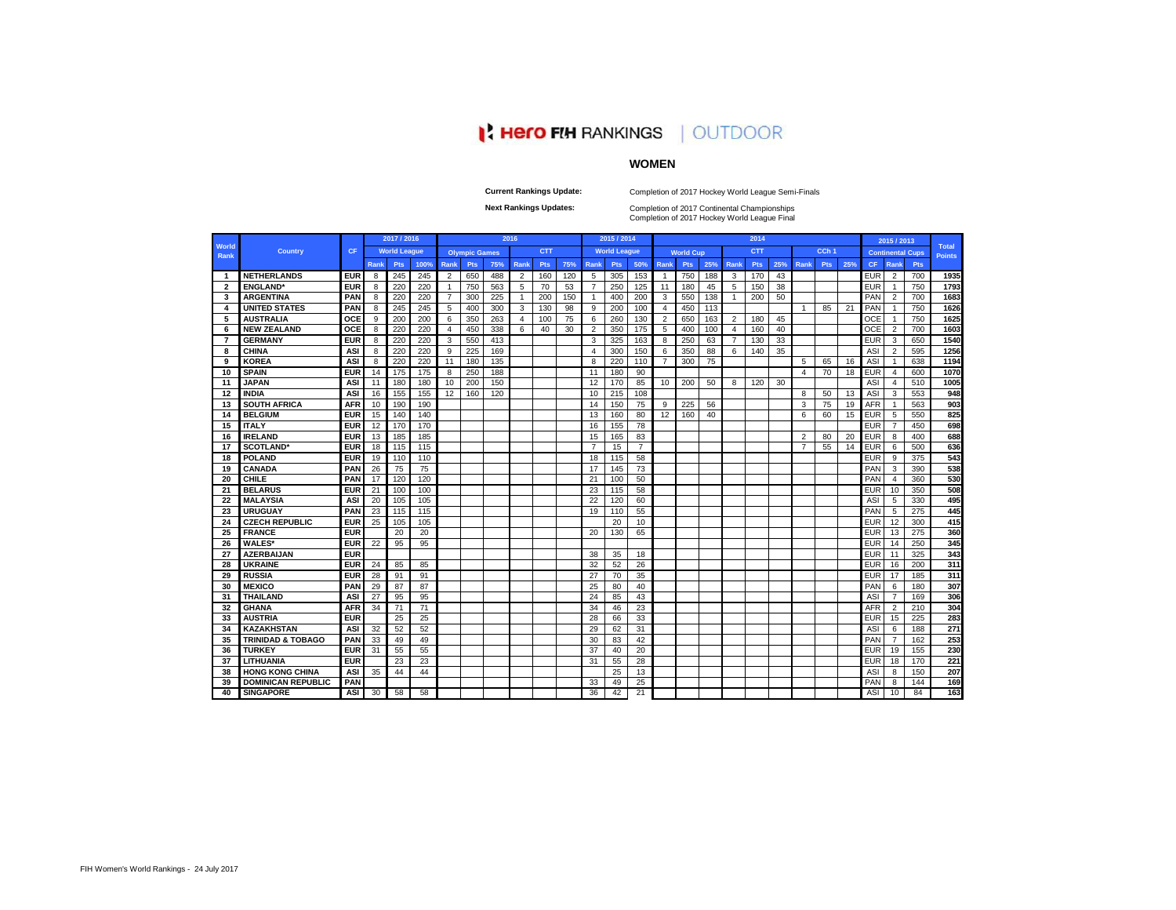# **PERIO FIN RANKINGS | OUTDOOR**

# **WOMEN**

**Current Rankings Update:**

Completion of 2017 Hockey World League Semi-Finals

**Next Rankings Updates: Completion of 2017 Continental Championships**<br>Completion of 2017 Hockey World League Final

|                         |                              |            |      | 2017 / 2016         |      |                |                      |     | 2016           |            |     |                | 2015 / 2014         |                |                |                  |     |                | 2014       |     |                |                  |     |            | 2015 / 2013    |                         |                               |
|-------------------------|------------------------------|------------|------|---------------------|------|----------------|----------------------|-----|----------------|------------|-----|----------------|---------------------|----------------|----------------|------------------|-----|----------------|------------|-----|----------------|------------------|-----|------------|----------------|-------------------------|-------------------------------|
| World<br><b>Rank</b>    | <b>Country</b>               | CF         |      | <b>World League</b> |      |                | <b>Olympic Games</b> |     |                | <b>CTT</b> |     |                | <b>World League</b> |                |                | <b>World Cup</b> |     |                | <b>CTT</b> |     |                | CCh <sub>1</sub> |     |            |                | <b>Continental Cups</b> | <b>Total</b><br><b>Points</b> |
|                         |                              |            | Rank | Pts                 | 100% | <b>Rank</b>    | Pts                  | 75% | <b>Rank</b>    | <b>Pts</b> | 75% | <b>Rank</b>    | Pts                 | 50%            | <b>Rank</b>    | Pts              | 25% | <b>Rank</b>    | <b>Pts</b> | 25% | Rank           | Pts              | 25% | <b>CF</b>  | Rank           | Pts                     |                               |
| -1                      | <b>NETHERLANDS</b>           | <b>EUR</b> | -8   | 245                 | 245  | $\overline{2}$ | 650                  | 488 | $\overline{2}$ | 160        | 120 | 5              | 305                 | 153            | $\mathbf{1}$   | 750              | 188 | 3              | 170        | 43  |                |                  |     | EUR        | $\overline{2}$ | 700                     | 1935                          |
| $\overline{\mathbf{2}}$ | <b>ENGLAND</b>               | <b>EUR</b> | 8    | 220                 | 220  | $\mathbf{1}$   | 750                  | 563 | 5              | 70         | 53  | $\overline{7}$ | 250                 | 125            | 11             | 180              | 45  | 5              | 150        | 38  |                |                  |     | EUR        | $\overline{1}$ | 750                     | 1793                          |
| 3                       | <b>ARGENTINA</b>             | <b>PAN</b> | 8    | 220                 | 220  | 7              | 300                  | 225 | -1             | 200        | 150 | $\mathbf{1}$   | 400                 | 200            | 3              | 550              | 138 | -1             | 200        | 50  |                |                  |     | PAN        | $\overline{2}$ | 700                     | 1683                          |
| 4                       | <b>UNITED STATES</b>         | PAN        | 8    | 245                 | 245  | 5              | 400                  | 300 | 3              | 130        | 98  | 9              | 200                 | 100            | 4              | 450              | 113 |                |            |     | $\mathbf{1}$   | 85               | 21  | PAN        | $\overline{1}$ | 750                     | 1626                          |
| 5                       | <b>AUSTRALIA</b>             | OCE        | 9    | 200                 | 200  | 6              | 350                  | 263 | $\overline{4}$ | 100        | 75  | 6              | 260                 | 130            | $\overline{2}$ | 650              | 163 | $\overline{2}$ | 180        | 45  |                |                  |     | OCE        | -1             | 750                     | 1625                          |
| 6                       | <b>NEW ZEALAND</b>           | OCE        | 8    | 220                 | 220  | $\overline{4}$ | 450                  | 338 | 6              | 40         | 30  | $\overline{2}$ | 350                 | 175            | 5              | 400              | 100 | 4              | 160        | 40  |                |                  |     | OCE        | $\overline{2}$ | 700                     | 1603                          |
| 7                       | <b>GERMANY</b>               | <b>EUR</b> | 8    | 220                 | 220  | 3              | 550                  | 413 |                |            |     | 3              | 325                 | 163            | 8              | 250              | 63  | 7              | 130        | 33  |                |                  |     | EUR        | 3              | 650                     | 1540                          |
| 8                       | <b>CHINA</b>                 | ASI        | 8    | 220                 | 220  | 9              | 225                  | 169 |                |            |     | $\overline{4}$ | 300                 | 150            | 6              | 350              | 88  | 6              | 140        | 35  |                |                  |     | <b>ASI</b> | $\overline{2}$ | 595                     | 1256                          |
| 9                       | <b>KOREA</b>                 | ASI        | 8    | 220                 | 220  | 11             | 180                  | 135 |                |            |     | 8              | 220                 | 110            | $\overline{7}$ | 300              | 75  |                |            |     | 5              | 65               | 16  | <b>ASI</b> | -1             | 638                     | 1194                          |
| 10                      | <b>SPAIN</b>                 | <b>EUR</b> | 14   | 175                 | 175  | 8              | 250                  | 188 |                |            |     | 11             | 180                 | 90             |                |                  |     |                |            |     | 4              | 70               | 18  | <b>EUR</b> | $\overline{4}$ | 600                     | 1070                          |
| 11                      | <b>JAPAN</b>                 | ASI        | 11   | 180                 | 180  | 10             | 200                  | 150 |                |            |     | 12             | 170                 | 85             | 10             | 200              | 50  | 8              | 120        | 30  |                |                  |     | ASI        | 4              | 510                     | 1005                          |
| 12                      | <b>INDIA</b>                 | ASI        | 16   | 155                 | 155  | 12             | 160                  | 120 |                |            |     | 10             | 215                 | 108            |                |                  |     |                |            |     | 8              | 50               | 13  | ASI        | 3              | 553                     | 948                           |
| 13                      | <b>SOUTH AFRICA</b>          | <b>AFR</b> | 10   | 190                 | 190  |                |                      |     |                |            |     | 14             | 150                 | 75             | 9              | 225              | 56  |                |            |     | 3              | 75               | 19  | <b>AFR</b> | $\overline{1}$ | 563                     | 903                           |
| 14                      | <b>BELGIUM</b>               | <b>EUR</b> | 15   | 140                 | 140  |                |                      |     |                |            |     | 13             | 160                 | 80             | 12             | 160              | 40  |                |            |     | 6              | 60               | 15  | <b>EUR</b> | 5              | 550                     | 825                           |
| 15                      | <b>ITALY</b>                 | <b>EUR</b> | 12   | 170                 | 170  |                |                      |     |                |            |     | 16             | 155                 | 78             |                |                  |     |                |            |     |                |                  |     | <b>EUR</b> | $\overline{7}$ | 450                     | 698                           |
| 16                      | <b>IRELAND</b>               | <b>EUR</b> | 13   | 185                 | 185  |                |                      |     |                |            |     | 15             | 165                 | 83             |                |                  |     |                |            |     | $\overline{2}$ | 80               | 20  | EUR        | 8              | 400                     | 688                           |
| 17                      | <b>SCOTLAND*</b>             | <b>EUR</b> | 18   | 115                 | 115  |                |                      |     |                |            |     | $\overline{7}$ | 15                  | $\overline{7}$ |                |                  |     |                |            |     | $\overline{7}$ | 55               | 14  | <b>EUR</b> | 6              | 500                     | 636                           |
| 18                      | <b>POLAND</b>                | <b>EUR</b> | 19   | 110                 | 110  |                |                      |     |                |            |     | 18             | 115                 | 58             |                |                  |     |                |            |     |                |                  |     | <b>EUR</b> | 9              | 375                     | 543                           |
| 19                      | <b>CANADA</b>                | PAN        | 26   | 75                  | 75   |                |                      |     |                |            |     | 17             | 145                 | 73             |                |                  |     |                |            |     |                |                  |     | PAN        | 3              | 390                     | 538                           |
| 20                      | <b>CHILE</b>                 | PAN        | 17   | 120                 | 120  |                |                      |     |                |            |     | 21             | 100                 | 50             |                |                  |     |                |            |     |                |                  |     | PAN        | $\overline{4}$ | 360                     | 530                           |
| 21                      | <b>BELARUS</b>               | <b>EUR</b> | 21   | 100                 | 100  |                |                      |     |                |            |     | 23             | 115                 | 58             |                |                  |     |                |            |     |                |                  |     | EUR        | 10             | 350                     | 508                           |
| 22                      | <b>MALAYSIA</b>              | ASI        | 20   | 105                 | 105  |                |                      |     |                |            |     | 22             | 120                 | 60             |                |                  |     |                |            |     |                |                  |     | ASI        | 5              | 330                     | 495                           |
| 23                      | <b>URUGUAY</b>               | PAN        | 23   | 115                 | 115  |                |                      |     |                |            |     | 19             | 110                 | 55             |                |                  |     |                |            |     |                |                  |     | PAN        | 5              | 275                     | 445                           |
| 24                      | <b>CZECH REPUBLIC</b>        | <b>EUR</b> | 25   | 105                 | 105  |                |                      |     |                |            |     |                | 20                  | 10             |                |                  |     |                |            |     |                |                  |     | <b>EUR</b> | 12             | 300                     | 415                           |
| 25                      | <b>FRANCE</b>                | <b>EUR</b> |      | 20                  | 20   |                |                      |     |                |            |     | 20             | 130                 | 65             |                |                  |     |                |            |     |                |                  |     | EUR        | 13             | 275                     | 360                           |
| 26                      | <b>WALES*</b>                | <b>EUR</b> | 22   | 95                  | 95   |                |                      |     |                |            |     |                |                     |                |                |                  |     |                |            |     |                |                  |     | <b>EUR</b> | 14             | 250                     | 345                           |
| 27                      | <b>AZERBAIJAN</b>            | <b>EUR</b> |      |                     |      |                |                      |     |                |            |     | 38             | 35                  | 18             |                |                  |     |                |            |     |                |                  |     | EUR        | 11             | 325                     | 343                           |
| 28                      | <b>UKRAINE</b>               | <b>EUR</b> | 24   | 85                  | 85   |                |                      |     |                |            |     | 32             | 52                  | 26             |                |                  |     |                |            |     |                |                  |     | EUR        | 16             | 200                     | 311                           |
| 29                      | <b>RUSSIA</b>                | <b>EUF</b> | 28   | 91                  | 91   |                |                      |     |                |            |     | 27             | 70                  | 35             |                |                  |     |                |            |     |                |                  |     | <b>EUR</b> | 17             | 185                     | 311                           |
| 30                      | <b>MEXICO</b>                | PAN        | 29   | 87                  | 87   |                |                      |     |                |            |     | 25             | 80                  | 40             |                |                  |     |                |            |     |                |                  |     | PAN        | 6              | 180                     | 307                           |
| 31                      | <b>THAILAND</b>              | ASI        | 27   | 95                  | 95   |                |                      |     |                |            |     | 24             | 85                  | 43             |                |                  |     |                |            |     |                |                  |     | ASI        | $\overline{7}$ | 169                     | 306                           |
| 32                      | <b>GHANA</b>                 | <b>AFR</b> | 34   | 71                  | 71   |                |                      |     |                |            |     | 34             | 46                  | 23             |                |                  |     |                |            |     |                |                  |     | AFR        | $\overline{2}$ | 210                     | 304                           |
| 33                      | <b>AUSTRIA</b>               | <b>EUR</b> |      | 25                  | 25   |                |                      |     |                |            |     | 28             | 66                  | 33             |                |                  |     |                |            |     |                |                  |     | <b>EUR</b> | 15             | 225                     | 283                           |
| 34                      | <b>KAZAKHSTAN</b>            | ASI        | 32   | 52                  | 52   |                |                      |     |                |            |     | 29             | 62                  | 31             |                |                  |     |                |            |     |                |                  |     | <b>ASI</b> | 6              | 188                     | 271                           |
| 35                      | <b>TRINIDAD &amp; TOBAGO</b> | PAN        | 33   | 49                  | 49   |                |                      |     |                |            |     | 30             | 83                  | 42             |                |                  |     |                |            |     |                |                  |     | PAN        | $\overline{7}$ | 162                     | 253                           |
| 36                      | <b>TURKEY</b>                | <b>EUR</b> | 31   | 55                  | 55   |                |                      |     |                |            |     | 37             | 40                  | 20             |                |                  |     |                |            |     |                |                  |     | EUR        | 19             | 155                     | 230                           |
| 37                      | <b>LITHUANIA</b>             | <b>EUR</b> |      | 23                  | 23   |                |                      |     |                |            |     | 31             | 55                  | 28             |                |                  |     |                |            |     |                |                  |     | EUR        | 18             | 170                     | 221                           |
| 38                      | <b>HONG KONG CHINA</b>       | ASI        | 35   | 44                  | 44   |                |                      |     |                |            |     |                | 25                  | 13             |                |                  |     |                |            |     |                |                  |     | ASI        | 8              | 150                     | 207                           |
| 39                      | <b>DOMINICAN REPUBLIC</b>    | PAN        |      |                     |      |                |                      |     |                |            |     | 33             | 49                  | 25             |                |                  |     |                |            |     |                |                  |     | PAN        | 8              | 144                     | 169                           |
| 40                      | <b>SINGAPORE</b>             | <b>ASI</b> | 30   | 58                  | 58   |                |                      |     |                |            |     | 36             | 42                  | 21             |                |                  |     |                |            |     |                |                  |     | ASI        | 10             | 84                      | 163                           |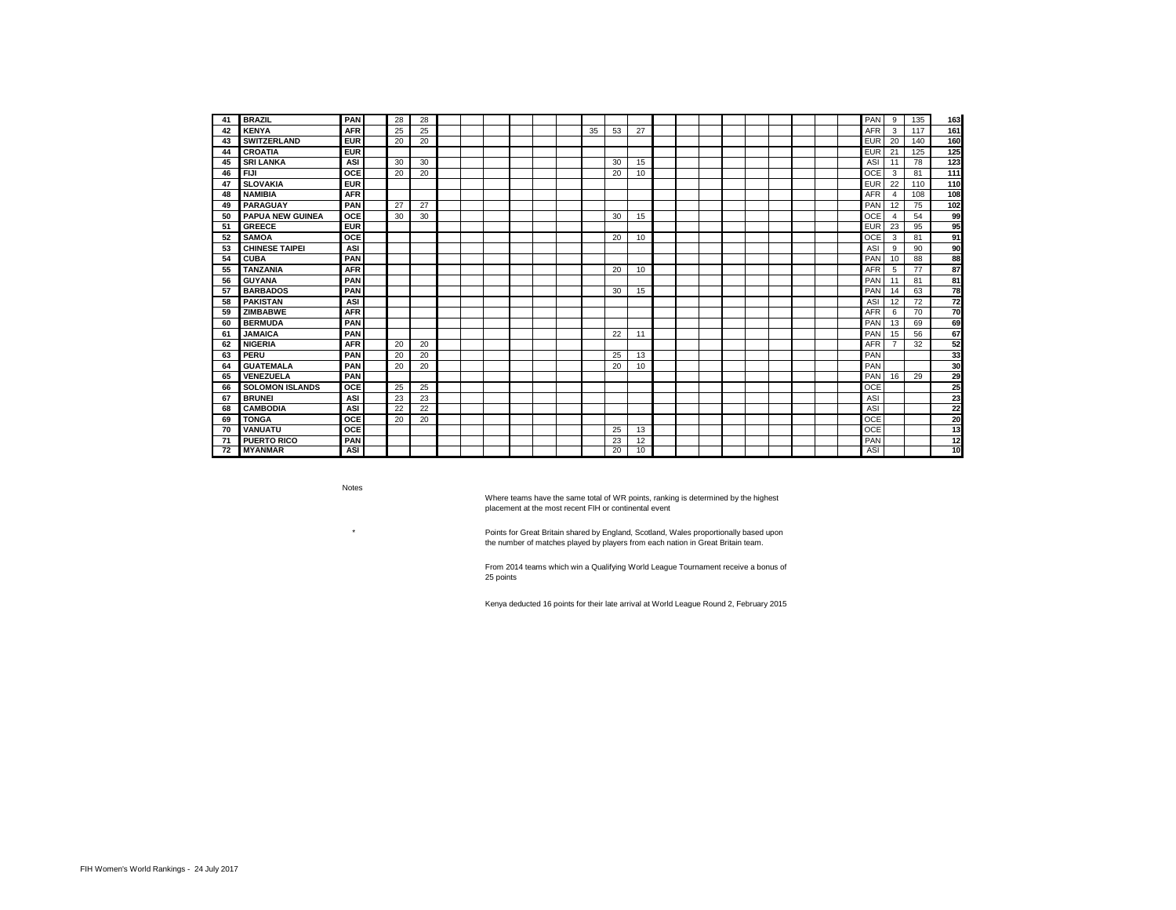| 41  | <b>BRAZIL</b>           | PAN        | 28 | 28 |  |  |  |    |    |    |  |  |  |  | PAN        | 9                     | 135 | 163             |
|-----|-------------------------|------------|----|----|--|--|--|----|----|----|--|--|--|--|------------|-----------------------|-----|-----------------|
| 42  | <b>KENYA</b>            | <b>AFR</b> | 25 | 25 |  |  |  | 35 | 53 | 27 |  |  |  |  | <b>AFR</b> | 3                     | 117 | 161             |
| 43  | <b>SWITZERLAND</b>      | <b>EUR</b> | 20 | 20 |  |  |  |    |    |    |  |  |  |  | <b>EUR</b> | 20                    | 140 | 160             |
| 44  | <b>CROATIA</b>          | <b>EUR</b> |    |    |  |  |  |    |    |    |  |  |  |  | <b>EUR</b> | 21                    | 125 | 125             |
| 45  | <b>SRI LANKA</b>        | ASI        | 30 | 30 |  |  |  |    | 30 | 15 |  |  |  |  | ASI        | 11                    | 78  | 123             |
| 46  | <b>FIJI</b>             | OCE        | 20 | 20 |  |  |  |    | 20 | 10 |  |  |  |  | OCE        | 3                     | 81  | 111             |
| 47  | <b>SLOVAKIA</b>         | <b>EUR</b> |    |    |  |  |  |    |    |    |  |  |  |  | <b>EUR</b> | 22                    | 110 | 110             |
| 48  | <b>NAMIBIA</b>          | <b>AFR</b> |    |    |  |  |  |    |    |    |  |  |  |  | <b>AFR</b> | $\boldsymbol{\Delta}$ | 108 | 108             |
| 49  | <b>PARAGUAY</b>         | PAN        | 27 | 27 |  |  |  |    |    |    |  |  |  |  | PAN        | 12                    | 75  | 102             |
| 50  | <b>PAPUA NEW GUINEA</b> | OCE        | 30 | 30 |  |  |  |    | 30 | 15 |  |  |  |  | OCE        | $\boldsymbol{\Delta}$ | 54  | 99              |
| 51  | <b>GREECE</b>           | <b>EUR</b> |    |    |  |  |  |    |    |    |  |  |  |  | <b>EUR</b> | 23                    | 95  | 95              |
| 52  | <b>SAMOA</b>            | <b>OCE</b> |    |    |  |  |  |    | 20 | 10 |  |  |  |  | OCE        | 3                     | 81  | 91              |
| 53  | <b>CHINESE TAIPEI</b>   | ASI        |    |    |  |  |  |    |    |    |  |  |  |  | ASI        | 9                     | 90  | 90              |
| 54  | <b>CUBA</b>             | PAN        |    |    |  |  |  |    |    |    |  |  |  |  | PAN        | 10                    | 88  | 88              |
| 55  | <b>TANZANIA</b>         | <b>AFR</b> |    |    |  |  |  |    | 20 | 10 |  |  |  |  | <b>AFR</b> | 5                     | 77  | 87              |
| 56  | <b>GUYANA</b>           | PAN        |    |    |  |  |  |    |    |    |  |  |  |  | PAN        | 11                    | 81  | 81              |
| 57  | <b>BARBADOS</b>         | PAN        |    |    |  |  |  |    | 30 | 15 |  |  |  |  | PAN        | 14                    | 63  | 78              |
| 58  | <b>PAKISTAN</b>         | ASI        |    |    |  |  |  |    |    |    |  |  |  |  | ASI        | 12                    | 72  | $\overline{72}$ |
| 59  | <b>ZIMBABWE</b>         | <b>AFR</b> |    |    |  |  |  |    |    |    |  |  |  |  | <b>AFR</b> | 6                     | 70  | 70              |
| 60  | <b>BERMUDA</b>          | PAN        |    |    |  |  |  |    |    |    |  |  |  |  | PAN        | 13                    | 69  | 69              |
| 61  | <b>JAMAICA</b>          | PAN        |    |    |  |  |  |    | 22 | 11 |  |  |  |  | PAN        | 15                    | 56  | 67              |
| 62  | <b>NIGERIA</b>          | <b>AFR</b> | 20 | 20 |  |  |  |    |    |    |  |  |  |  | <b>AFR</b> | ⇁                     | 32  | 52              |
| 63  | PERU                    | PAN        | 20 | 20 |  |  |  |    | 25 | 13 |  |  |  |  | PAN        |                       |     | 33              |
| 64  | <b>GUATEMALA</b>        | PAN        | 20 | 20 |  |  |  |    | 20 | 10 |  |  |  |  | PAN        |                       |     | 30              |
| 65  | VENEZUELA               | PAN        |    |    |  |  |  |    |    |    |  |  |  |  | PAN        | 16                    | 29  | 29              |
| 66  | <b>SOLOMON ISLANDS</b>  | OCE        | 25 | 25 |  |  |  |    |    |    |  |  |  |  | OCE        |                       |     | 25              |
| 67  | <b>BRUNEI</b>           | ASI        | 23 | 23 |  |  |  |    |    |    |  |  |  |  | ASI        |                       |     | 23              |
| 68  | <b>CAMBODIA</b>         | ASI        | 22 | 22 |  |  |  |    |    |    |  |  |  |  | ASI        |                       |     | 22              |
| 69  | <b>TONGA</b>            | OCE        | 20 | 20 |  |  |  |    |    |    |  |  |  |  | OCE        |                       |     | 20              |
| 70  | VANUATU                 | <b>OCE</b> |    |    |  |  |  |    | 25 | 13 |  |  |  |  | <b>OCE</b> |                       |     | 13              |
| -71 | <b>PUERTO RICO</b>      | PAN        |    |    |  |  |  |    | 23 | 12 |  |  |  |  | PAN        |                       |     | 12              |
| 72  | <b>MYANMAR</b>          | <b>ASI</b> |    |    |  |  |  |    | 20 | 10 |  |  |  |  | ASI        |                       |     | 10              |

Notes

\*

Where teams have the same total of WR points, ranking is determined by the highest placement at the most recent FIH or continental event

Points for Great Britain shared by England, Scotland, Wales proportionally based upon the number of matches played by players from each nation in Great Britain team.

From 2014 teams which win a Qualifying World League Tournament receive a bonus of 25 points

Kenya deducted 16 points for their late arrival at World League Round 2, February 2015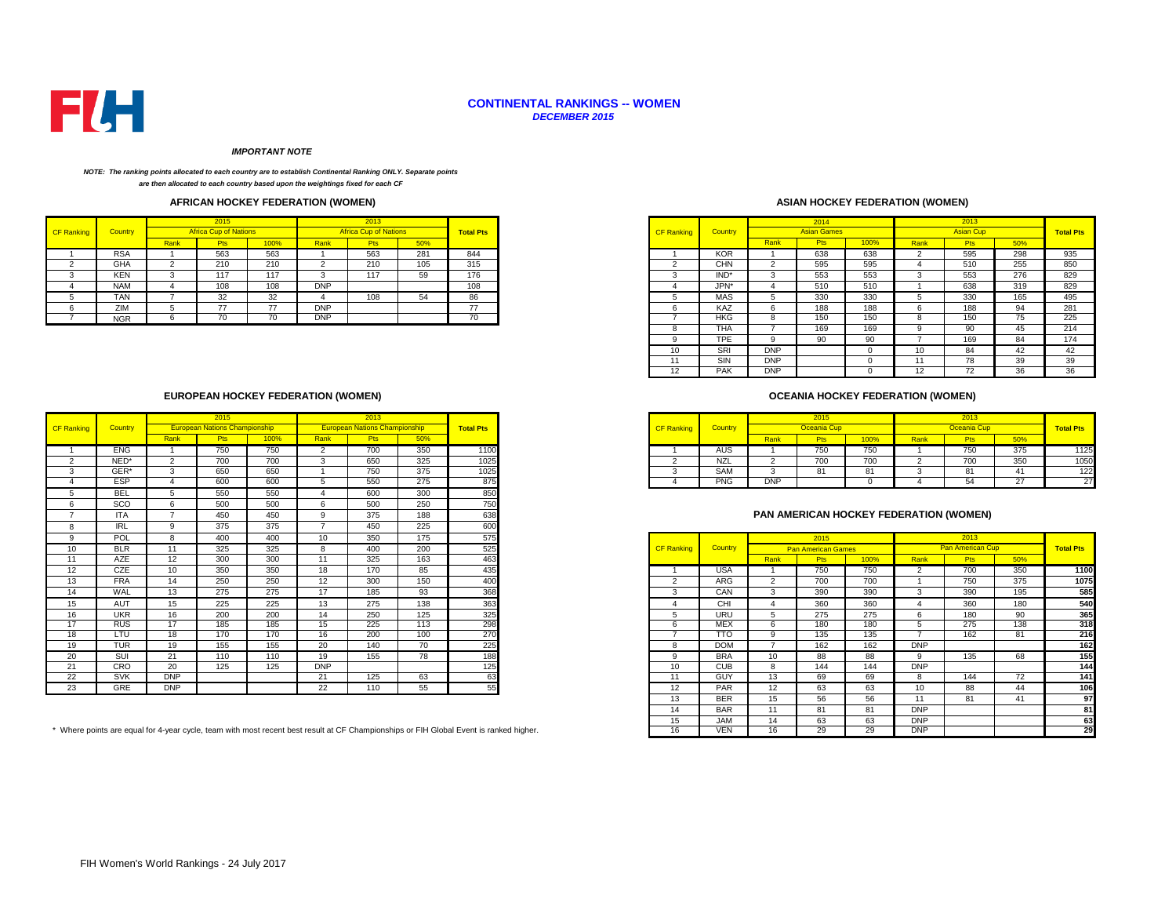

#### **CONTINENTAL RANKINGS -- WOMEN** *DECEMBER 2015*

#### *IMPORTANT NOTE*

#### *NOTE: The ranking points allocated to each country are to establish Continental Ranking ONLY. Separate points are then allocated to each country based upon the weightings fixed for each CF*

## **AFRICAN HOCKEY FEDERATION (WOMEN)**

| <b>CF Ranking</b> | Country    |      | <b>Africa Cup of Nations</b> |      |            | <b>Africa Cup of Nations</b> |     | <b>Total Pts</b> |
|-------------------|------------|------|------------------------------|------|------------|------------------------------|-----|------------------|
|                   |            | Rank | <b>Pts</b>                   | 100% | Rank       | <b>Pts</b>                   | 50% |                  |
|                   | <b>RSA</b> |      | 563                          | 563  |            | 563                          | 281 | 844              |
|                   | <b>GHA</b> |      | 210                          | 210  |            | 210                          | 105 | 315              |
|                   | <b>KEN</b> |      | 117                          | 117  |            | 117                          | ວອ  | 176              |
|                   | <b>NAM</b> |      | 108                          | 108  | <b>DNP</b> |                              |     | 108              |
|                   | TAN        |      | 32<br>ےت                     | 32   |            | 108                          |     |                  |
|                   | ZIM        |      | $\rightarrow$                | --   | <b>DNP</b> |                              |     | --               |
|                   | <b>NGR</b> |      | 70                           |      | <b>DNP</b> |                              |     | $\sim$<br>70     |

## **ASIAN HOCKEY FEDERATION (WOMEN)**

| 2015                         |  | 2013                         |     |                  |                   |                |            | 2014               |      |      | 2013             |     |                  |
|------------------------------|--|------------------------------|-----|------------------|-------------------|----------------|------------|--------------------|------|------|------------------|-----|------------------|
| <b>Africa Cup of Nations</b> |  | <b>Africa Cup of Nations</b> |     | <b>Total Pts</b> | <b>CF Ranking</b> | <b>Country</b> |            | <b>Asian Games</b> |      |      | <b>Asian Cup</b> |     | <b>Total Pts</b> |
| 100%<br>Rank<br><b>Pts</b>   |  | Pts                          | 50% |                  |                   |                | Rank       | <b>Pts</b>         | 100% | Rank | <b>Pts</b>       | 50% |                  |
| 563<br>563                   |  | 563                          | 281 | 844              |                   | <b>KOR</b>     |            | 638                | 638  |      | 595              | 298 | 935              |
| 210<br>210                   |  | 210                          | 105 | 315              |                   | <b>CHN</b>     |            | 595                | 595  |      | 510              | 255 | 850              |
| 117<br>117<br>-5             |  | 117                          | 59  | 176              |                   | IND*           |            | 553                | 553  | 3    | 553              | 276 | 829              |
| 108<br>108<br><b>DNP</b>     |  |                              |     | 108              | 4                 | JPN*           |            | 510                | 510  |      | 638              | 319 | 829              |
| 32<br>108<br>32              |  |                              | 54  | 86               |                   | MAS            |            | 330                | 330  |      | 330              | 165 | 495              |
| <b>DNP</b><br>77<br>77       |  |                              |     | 77               | 6                 | KAZ            | 6          | 188                | 188  | h    | 188              | 94  | 281              |
| 70<br>70<br><b>DNP</b>       |  |                              |     | 70               |                   | HKG            | റ          | 150                | 150  | റ    | 150              | 75  | 225              |
|                              |  |                              |     |                  | ŏ                 | <b>THA</b>     |            | 169                | 169  |      | 90               | 45  | 214              |
|                              |  |                              |     |                  | a                 | <b>TPE</b>     | $\Omega$   | 90                 | 90   |      | 169              | 84  | 174              |
|                              |  |                              |     |                  | 10                | SRI            | <b>DNP</b> |                    |      | 10   | 84               | 42  | 42               |
|                              |  |                              |     |                  |                   | SIN            | <b>DNP</b> |                    |      |      | 78               | 39  | 39               |
|                              |  |                              |     |                  | 12                | <b>PAK</b>     | <b>DNP</b> |                    |      | 12   | 72               | 36  | 36               |

## **OCEANIA HOCKEY FEDERATION (WOMEN)**

|            |      | ∠∪เจ                                 |     |             | ZU 13                                |      |                  |                   |                |            | 2015        |                                  |      | 2013               |     |                  |
|------------|------|--------------------------------------|-----|-------------|--------------------------------------|------|------------------|-------------------|----------------|------------|-------------|----------------------------------|------|--------------------|-----|------------------|
| Country    |      | <b>European Nations Championship</b> |     |             | <b>European Nations Championship</b> |      | <b>Total Pts</b> | <b>CF Ranking</b> | <b>Country</b> |            | Oceania Cup |                                  |      | <b>Oceania Cup</b> |     | <b>Total Pts</b> |
|            | Rank |                                      | 00% | <u>Rank</u> | 15                                   |      |                  |                   |                | Ranl       |             | 100%                             | Rank |                    | 50% |                  |
| <b>ENG</b> |      | 750                                  | 750 |             | 700                                  | 350  | 1100             |                   | AUS            |            | 750         | 750                              |      | 750                | 375 |                  |
| NED*       |      | $\sim$ 0.0<br>טע'                    | 700 |             | 650                                  | -325 | 1025             |                   | NZL            |            | 700         | $\overline{\phantom{a}}$<br>7 UU |      | $\sim$ $\sim$      | 350 |                  |
| GER*       |      | 650                                  | 650 |             | 750                                  | 375  | 1025             |                   | <b>SAM</b>     |            |             | $^{\circ}$                       |      |                    |     |                  |
| ESP        |      | 600                                  | 600 |             | 550                                  | 275  | 875              |                   | <b>PNG</b>     | <b>DNF</b> |             |                                  |      |                    |     |                  |

## **PAN AMERICAN HOCKEY FEDERATION (WOMEN)**

|                 | POL        |            | 400 | 400 | 10         | 350                                                                                                                                 | 175 | 575 |                   |            |               | 2015                      |      |            | 2013                    |     |                  |
|-----------------|------------|------------|-----|-----|------------|-------------------------------------------------------------------------------------------------------------------------------------|-----|-----|-------------------|------------|---------------|---------------------------|------|------------|-------------------------|-----|------------------|
| 10              | <b>BLR</b> | 11         | 325 | 325 | 8          | 400                                                                                                                                 | 200 | 525 | <b>CF Ranking</b> | Country    |               | <b>Pan American Games</b> |      |            | <b>Pan American Cup</b> |     | <b>Total Pts</b> |
| 11              | AZE        | 12         | 300 | 300 | 11         | 325                                                                                                                                 | 163 | 463 |                   |            | Rank          | <b>Pts</b>                | 100% | Rank       | <b>Pts</b>              | 50% |                  |
| 12 <sup>°</sup> | CZE        | 10         | 350 | 350 | 18         | 170                                                                                                                                 | 85  | 435 |                   | <b>USA</b> |               | 750                       | 750  |            | 700                     | 350 | 1100             |
| 13              | <b>FRA</b> | 14         | 250 | 250 | 12         | 300                                                                                                                                 | 150 | 400 |                   | ARG        | $\mathcal{D}$ | 700                       | 700  |            | 750                     | 375 | 1075             |
| 14              | WAL        | 13         | 275 | 275 | 17         | 185                                                                                                                                 | 93  | 368 |                   | CAN        |               | 390                       | 390  | 3          | 390                     | 195 | 585              |
| 15              | AUT        | 15         | 225 | 225 | 13         | 275                                                                                                                                 | 138 | 363 |                   | CHI        |               | 360                       | 360  |            | 360                     | 180 | 540              |
| 16              | <b>UKR</b> | 16         | 200 | 200 | 14         | 250                                                                                                                                 | 125 | 325 |                   | <b>URU</b> |               | 275                       | 275  | 6          | 180                     | 90  | 365              |
| 17              | <b>RUS</b> | 17         | 185 | 185 | 15         | 225                                                                                                                                 | 113 | 298 |                   | <b>MEX</b> |               | 180                       | 180  |            | 275                     | 138 | 318              |
| 18              | LTU        | 18         | 170 | 170 | 16         | 200                                                                                                                                 | 100 | 270 |                   | <b>TTO</b> |               | 135                       | 135  |            | 162                     | 81  | 216              |
| 19              | <b>TUR</b> | 19         | 155 | 155 | 20         | 140                                                                                                                                 | 70  | 225 |                   | <b>DOM</b> |               | 162                       | 162  | <b>DNP</b> |                         |     | 162              |
| 20              | SUI        | 21         | 110 | 110 | 19         | 155                                                                                                                                 | 78  | 188 |                   | <b>BRA</b> | 10            | 88                        | 88   | 9          | 135                     | 68  | 155              |
| 21              | CRO        | 20         | 125 | 125 | <b>DNP</b> |                                                                                                                                     |     | 125 | 10                | <b>CUB</b> |               | 144                       | 144  | <b>DNP</b> |                         |     | 144              |
| 22              | <b>SVK</b> | <b>DNP</b> |     |     | 21         | 125                                                                                                                                 | 63  | 63  | 11                | <b>GUY</b> | 13            | 69                        | 69   | 8          | 144                     | 72  | 141              |
| 23              | GRE        | <b>DNP</b> |     |     | 22         | 110                                                                                                                                 | 55  | 55  | 12                | <b>PAR</b> | 12            | 63                        | 63   | 10         | 88                      | 44  | 106              |
|                 |            |            |     |     |            |                                                                                                                                     |     |     | 13                | <b>BER</b> | 15            | 56                        | 56   | 11         | 81                      | 41  | 97               |
|                 |            |            |     |     |            |                                                                                                                                     |     |     | 14                | <b>BAR</b> | 11            | 81                        | 81   | <b>DNP</b> |                         |     | 81               |
|                 |            |            |     |     |            |                                                                                                                                     |     |     | 15                | <b>JAM</b> | 14            | 63                        | 63   | <b>DNP</b> |                         |     | 63               |
|                 |            |            |     |     |            | here points are equal for 4-year cycle, team with most recent best result at CF Championships or FIH Global Event is ranked higher. |     |     | 16                | <b>VEN</b> | 16            | 29                        | 29   | <b>DNP</b> |                         |     | 29               |

## **EUROPEAN HOCKEY FEDERATION (WOMEN)**

|                   |            |                | 2015                                 |      |            | 2013                                 |     |                  |
|-------------------|------------|----------------|--------------------------------------|------|------------|--------------------------------------|-----|------------------|
| <b>CF Ranking</b> | Country    |                | <b>European Nations Championship</b> |      |            | <b>European Nations Championship</b> |     | <b>Total Pts</b> |
|                   |            | Rank           | <b>Pts</b>                           | 100% | Rank       | <b>Pts</b>                           | 50% |                  |
|                   | <b>ENG</b> |                | 750                                  | 750  | 2          | 700                                  | 350 | 1100             |
| $\sim$            | NED*       | $\overline{2}$ | 700                                  | 700  | 3          | 650                                  | 325 | 1025             |
| 3                 | GER*       | 3              | 650                                  | 650  |            | 750                                  | 375 | 1025             |
|                   | ESP        | 4              | 600                                  | 600  | 5          | 550                                  | 275 | 875              |
|                   | <b>BEL</b> | 5              | 550                                  | 550  |            | 600                                  | 300 | 850              |
|                   | SCO        | 6              | 500                                  | 500  | 6          | 500                                  | 250 | 750              |
|                   | <b>ITA</b> |                | 450                                  | 450  | 9          | 375                                  | 188 | 638              |
| 8                 | <b>IRL</b> | 9              | 375                                  | 375  | -          | 450                                  | 225 | 600              |
| $\Omega$          | POL        | 8              | 400                                  | 400  | 10         | 350                                  | 175 | 575              |
| 10                | <b>BLR</b> | 11             | 325                                  | 325  | 8          | 400                                  | 200 | 525              |
| 11                | AZE        | 12             | 300                                  | 300  | 11         | 325                                  | 163 | 463              |
| 12 <sup>2</sup>   | CZE        | 10             | 350                                  | 350  | 18         | 170                                  | 85  | 435              |
| 13                | <b>FRA</b> | 14             | 250                                  | 250  | 12         | 300                                  | 150 | 400              |
| 14                | WAL        | 13             | 275                                  | 275  | 17         | 185                                  | 93  | 368              |
| 15                | AUT        | 15             | 225                                  | 225  | 13         | 275                                  | 138 | 363              |
| 16                | <b>UKR</b> | 16             | 200                                  | 200  | 14         | 250                                  | 125 | 325              |
| 17                | <b>RUS</b> | 17             | 185                                  | 185  | 15         | 225                                  | 113 | 298              |
| 18                | LTU        | 18             | 170                                  | 170  | 16         | 200                                  | 100 | 270              |
| 19                | <b>TUR</b> | 19             | 155                                  | 155  | 20         | 140                                  | 70  | 225              |
| 20                | <b>SUI</b> | 21             | 110                                  | 110  | 19         | 155                                  | 78  | 188              |
| 21                | CRO        | 20             | 125                                  | 125  | <b>DNP</b> |                                      |     | 125              |
| 22                | <b>SVK</b> | <b>DNP</b>     |                                      |      | 21         | 125                                  | 63  | 63               |
| 23                | GRE        | <b>DNP</b>     |                                      |      | 22         | 110                                  | 55  | 55               |